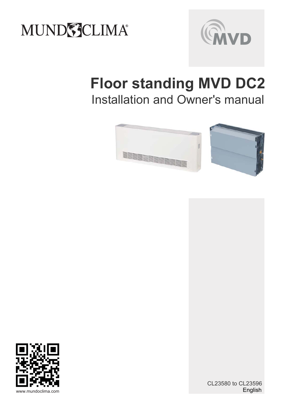



# **Floor standing MVD DC2** Installation and Owner's manual





English CL23580 to CL23596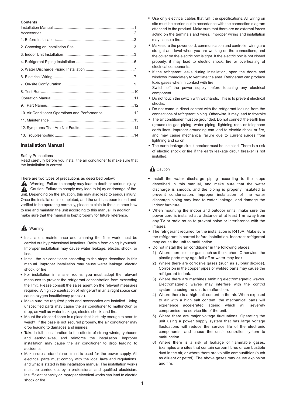#### **Contents**

| 10. Air Conditioner Operations and Performance 12 |  |
|---------------------------------------------------|--|
|                                                   |  |
|                                                   |  |
|                                                   |  |
|                                                   |  |

## **Installation Manual**

Safety Precautions

Read carefully before you install the air conditioner to make sure that the installation is correct.

There are two types of precautions as described below:

Warning: Failure to comply may lead to death or serious injury. Caution: Failure to comply may lead to injury or damage of the unit. Depending on the situation, this may also lead to serious injury. Once the installation is completed, and the unit has been tested and verified to be operating normally, please explain to the customer how to use and maintain the unit according to this manual. In addition, make sure that the manual is kept properly for future reference.

## **A** Warning

- Installation, maintenance and cleaning the filter work must be carried out by professional installers. Refrain from doing it yourself. Improper installation may cause water leakage, electric shock, or fire.
- Install the air conditioner according to the steps described in this manual. Improper installation may cause water leakage, electric shock, or fire.
- For installation in smaller rooms, you must adopt the relevant measures to prevent the refrigerant concentration from exceeding the limit. Please consult the sales agent on the relevant measures required. A high concentration of refrigerant in an airtight space can cause oxygen insufficiency (anoxia).
- Make sure the required parts and accessories are installed. Using unspecified parts may cause the air conditioner to malfunction or drop, as well as water leakage, electric shock, and fire.
- $\bullet$ Mount the air conditioner in a place that is sturdy enough to bear its weight. If the base is not secured properly, the air conditioner may drop leading to damages and injuries.
- Take in full consideration to the effects of strong winds, typhoons and earthquakes, and reinforce the installation. Improper installation may cause the air conditioner to drop leading to accidents.
- Make sure a standalone circuit is used for the power supply. All electrical parts must comply with the local laws and regulations, and what is stated in this installation manual. The installation works must be carried out by a professional and qualified electrician. Insufficient capacity or improper electrical works can lead to electric shock or fire.
- Use only electrical cables that fulfil the specifications. All wiring on site must be carried out in accordance with the connection diagram attached to the product. Make sure that there are no external forces acting on the terminals and wires. Improper wiring and installation may cause a fire.
- Make sure the power cord, communication and controller wiring are straight and level when you are working on the connections, and the cover on the electric box is tight. If the electric box is not closed properly, it may lead to electric shock, fire or overheating of electrical components.
- If the refrigerant leaks during installation, open the doors and windows immediately to ventilate the area. Refrigerant can produce toxic gases when in contact with fire.

Switch off the power supply before touching any electrical component.

- Do not touch the switch with wet hands. This is to prevent electrical shocks.
- -Do not come in direct contact with the refrigerant leaking from the connections of refrigerant piping. Otherwise, it may lead to frostbite.
- The air conditioner must be grounded. Do not connect the earth line (ground) to gas piping, water piping, lightning rods or telephone earth lines. Improper grounding can lead to electric shock or fire, and may cause mechanical failure due to current surges from lightning and so on.
- The earth leakage circuit breaker must be installed. There is a risk of electric shock or fire if the earth leakage circuit breaker is not installed.

## **A** Caution

- Install the water discharge piping according to the steps described in this manual, and make sure that the water discharge is smooth, and the piping is properly insulated to prevent condensation. Improper installation of the water discharge piping may lead to water leakage, and damage the indoor furniture.
- When mounting the indoor and outdoor units, make sure the power cord is installed at a distance of at least 1 m away from any TV or radio so as to prevent noise or interference with the images.
- The refrigerant required for the installation is R410A. Make sure the refrigerant is correct before installation. Incorrect refrigerant may cause the unit to malfunction.
- Do not install the air conditioner in the following places:
	- 1) Where there is oil or gas, such as the kitchen. Otherwise, the plastic parts may age, fall off or water may leak.
	- 2) Where there are corrosive gases (such as sulphur dioxide). Corrosion in the copper pipes or welded parts may cause the refrigerant to leak.
	- 3) Where there are machines emitting electromagnetic waves. Electromagnetic waves may interfere with the control system, causing the unit to malfunction.
	- 4) Where there is a high salt content in the air. When exposed to air with a high salt content, the mechanical parts will experience accelerated ageing which will severely compromise the service life of the unit.
	- 5) Where there are major voltage fluctuations. Operating the unit using a power supply system that has large voltage fluctuations will reduce the service life of the electronic components, and cause the unit's controller system to malfunction.
	- 6) Where there is a risk of leakage of flammable gases. Examples are sites that contain carbon fibres or combustible dust in the air, or where there are volatile combustibles (such as diluent or petrol). The above gases may cause explosion and fire.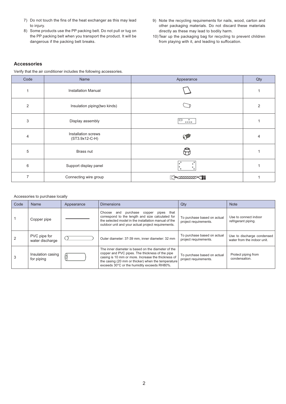- 7) Do not touch the fins of the heat exchanger as this may lead to injury.
- 8) Some products use the PP packing belt. Do not pull or tug on the PP packing belt when you transport the product. It will be dangerous if the packing belt breaks.
- 9) Note the recycling requirements for nails, wood, carton and other packaging materials. Do not discard these materials directly as these may lead to bodily harm.
- 10) Tear up the packaging bag for recycling to prevent children from playing with it, and leading to suffocation.

## **Accessories**

Verify that the air conditioner includes the following accessories.

| Code           | Name                                  | Appearance                    | Qty            |
|----------------|---------------------------------------|-------------------------------|----------------|
| 1              | <b>Installation Manual</b>            |                               |                |
| 2              | Insulation piping(two kinds)          |                               | $\overline{2}$ |
| 3              | Display assembly                      | $\circ$<br>0000               |                |
| 4              | Installation screws<br>(ST3.9x12-C-H) |                               | 4              |
| 5              | Brass nut                             |                               |                |
| 6              | Support display panel                 | $\circ$<br>$\circ$<br>$\circ$ |                |
| $\overline{7}$ | Connecting wire group                 | Commod                        |                |

#### Accessories to purchase locally

| Code | Name                            | Appearance | <b>Dimensions</b>                                                                                                                                                                                                                                                | Qty                                                  | <b>Note</b>                                               |
|------|---------------------------------|------------|------------------------------------------------------------------------------------------------------------------------------------------------------------------------------------------------------------------------------------------------------------------|------------------------------------------------------|-----------------------------------------------------------|
|      | Copper pipe                     |            | purchase copper<br>and<br>pipes that<br>Choose<br>correspond to the length and size calculated for<br>the selected model in the installation manual of the<br>outdoor unit and your actual project requirements.                                                 | To purchase based on actual<br>project requirements. | Use to connect indoor<br>refrigerant piping.              |
| 2    | PVC pipe for<br>water discharge |            | Outer diameter: 37-39 mm, inner diameter: 32 mm                                                                                                                                                                                                                  | To purchase based on actual<br>project requirements. | Use to discharge condensed<br>water from the indoor unit. |
| 3    | Insulation casing<br>for piping |            | The inner diameter is based on the diameter of the<br>copper and PVC pipes. The thickness of the pipe<br>casing is 10 mm or more. Increase the thickness of<br>the casing (20 mm or thicker) when the temperature<br>exceeds 30°C or the humidity exceeds RH80%. | To purchase based on actual<br>project requirements. | Protect piping from<br>condensation.                      |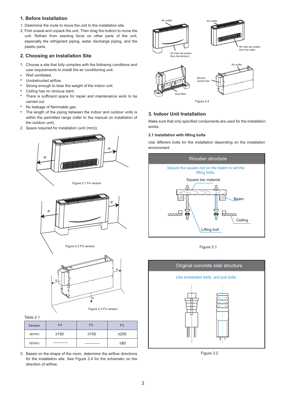## **1. Before Installation**

- 1. Determine the route to move the unit to the installation site.
- 2. First unseal and unpack the unit. Then drag the bottom to move the unit. Refrain from exerting force on other parts of the unit, especially the refrigerant piping, water discharge piping, and the plastic parts.

## **2. Choosing an Installation Site**

- 1. Choose a site that fully complies with the following conditions and user requirements to install the air conditioning unit.
- Well ventilated.
- Unobstructed airflow.
- Strong enough to bear the weight of the indoor unit.
- Ceiling has no obvious slant.
- There is sufficient space for repair and maintenance work to be carried out.
- No leakage of flammable gas.
- The length of the piping between the indoor and outdoor units is within the permitted range (refer to the manual on installation of the outdoor unit).
- 2. Space required for installation (unit (mm)):



#### Table 2.1

| Version | F4         | F <sub>5</sub> | F <sub>3</sub> |
|---------|------------|----------------|----------------|
| a(mm)   | $\geq$ 150 | $\geq 150$     | $\geq$ 200     |
| b(mm)   |            |                | $\geq 80$      |

Figure 2.3 F3 version

3. Based on the shape of the room, determine the airflow directions for the installation site. See Figure 2.4 for the schematic on the direction of airflow.



**3. Indoor Unit Installation**

Make sure that only specified components are used for the installation works.

#### **3.1 Installation with lifting bolts**

Use different bolts for the installation depending on the installation environment.



Figure 3.1



Figure 3.2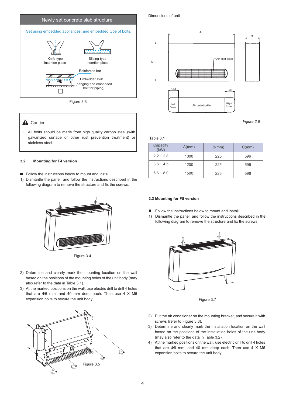

Figure 3.3

## **A** Caution

 All bolts should be made from high quality carbon steel (with galvanized surface or other rust prevention treatment) or stainless steel.

#### **3.2 Mounting for F4 version**

- Follow the instructions below to mount and install:
- 1) Dismantle the panel, and follow the instructions described in the following diagram to remove the structure and fix the screws.





- 2) Determine and clearly mark the mounting location on the wall based on the positions of the mounting holes of the unit body (may also refer to the data in Table 3.1).
- 3) At the marked positions on the wall, use electric drill to drill 4 holes that are  $\Phi$ 6 mm, and 40 mm deep each. Then use 4 X M6 expansion bolts to secure the unit body.



#### Dimensions of unit



*Figure 3.6*

Table.3.1

| Capacity<br>(kW) | A/mm) | B/mm) | C/mm |
|------------------|-------|-------|------|
| $2.2 - 2.8$      | 1000  | 225   | 596  |
| $3.6 - 4.5$      | 1200  | 225   | 596  |
| $5.6 - 8.0$      | 1500  | 225   | 596  |

#### **3.3 Mounting for F5 version**

- **Follow the instructions below to mount and install:**
- 1) Dismantle the panel, and follow the instructions described in the following diagram to remove the structure and fix the screws:



Figure 3.7

- 2) Put the air conditioner on the mounting bracket, and secure it with screws (refer to Figure 3.8).
- 3) Determine and clearly mark the installation location on the wall based on the positions of the installation holes of the unit body (may also refer to the data in Table 3.2).
- 4) At the marked positions on the wall, use electric drill to drill 4 holes that are  $\Phi$ 6 mm, and 40 mm deep each. Then use 4 X M6 expansion bolts to secure the unit body.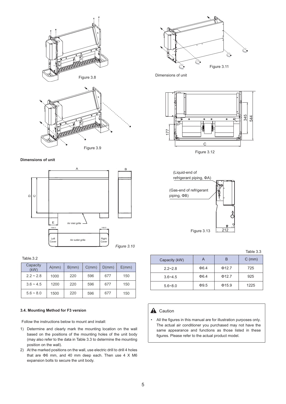

**Dimensions of unit**



Table.3.2

| Capacity<br>(kW) | A/mm) | B/mm) | C/mm | D(mm) | E/mm) |
|------------------|-------|-------|------|-------|-------|
| $2.2 - 2.8$      | 1000  | 220   | 596  | 677   | 150   |
| $3.6 - 4.5$      | 1200  | 220   | 596  | 677   | 150   |
| $5.6 - 8.0$      | 1500  | 220   | 596  | 677   | 150   |

#### **3.4. Mounting Method for F3 version**

Follow the instructions below to mount and install:

- 1) Determine and clearly mark the mounting location on the wall based on the positions of the mounting holes of the unit body (may also refer to the data in Table 3.3 to determine the mounting position on the wall).
- 2) At the marked positions on the wall, use electric drill to drill 4 holes that are  $\Phi$ 6 mm, and 40 mm deep each. Then use 4 X M6 expansion bolts to secure the unit body.



Dimensions of unit





Table 3.3

| Capacity (kW) |            | в           | $C \text{ (mm)}$ |
|---------------|------------|-------------|------------------|
| $2.2 - 2.8$   | $\Phi$ 6.4 | $\Phi$ 12.7 | 725              |
| $3.6 - 4.5$   | $\Phi$ 6.4 | $\Phi$ 12.7 | 925              |
| $5.6 - 8.0$   | $\Phi$ 9.5 | $\Phi$ 15.9 | 1225             |

#### **A** Caution

• All the figures in this manual are for illustration purposes only. The actual air conditioner you purchased may not have the same appearance and functions as those listed in these figures. Please refer to the actual product model.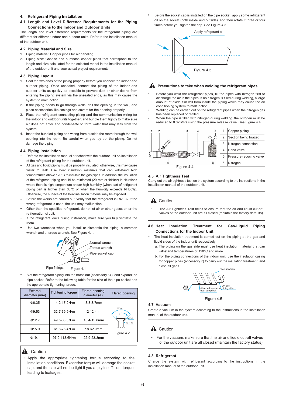#### **4. Refrigerant Piping Installation**

**4.1 Length and Level Difference Requirements for the Piping Connections to the Indoor and Outdoor Units**

The length and level difference requirements for the refrigerant piping are different for different indoor and outdoor units. Refer to the installation manual of the outdoor unit.

#### **4.2 Piping Material and Size**

- 1. Piping material: Copper pipes for air handling.
- 2. Piping size: Choose and purchase copper pipes that correspond to the length and size calculated for the selected model in the installation manual of the outdoor unit and your actual project requirements.

#### **4.3 Piping Layout**

- 1. Seal the two ends of the piping properly before you connect the indoor and outdoor piping. Once unsealed, connect the piping of the indoor and outdoor units as quickly as possible to prevent dust or other debris from entering the piping system via the unsealed ends, as this may cause the system to malfunction.
- 2. If the piping needs to go through walls, drill the opening in the wall, and place accessories like casings and covers for the opening properly.
- 3. Place the refrigerant connecting piping and the communication wiring for the indoor and outdoor units together, and bundle them tightly to make sure air does not enter and condensate to form water that may leak from the system.
- 4. Insert the bundled piping and wiring from outside the room through the wall opening into the room. Be careful when you lay out the piping. Do not damage the piping.

#### **4.4 Piping Installation**

- Refer to the installation manual attached with the outdoor unit on installation of the refrigerant piping for the outdoor unit.
- All gas and liquid piping must be properly insulated; otherwise, this may cause water to leak. Use heat insulation materials that can withstand high temperatures above 120°C to insulate the gas pipes. In addition, the insulation of the refrigerant piping should be reinforced (20 mm or thicker) in situations where there is high temperature and/or high humidity (when part of refrigerant piping part is higher than 30°C or when the humidity exceeds RH80%). Otherwise, the surface of the heat insulation material may be exposed.
- Before the works are carried out, verify that the refrigerant is R410A. If the wrong refrigerant is used, the unit may malfunction.
- Other than the specified refrigerant, do not let air or other gases enter the refrigeration circuit.
- If the refrigerant leaks during installation, make sure you fully ventilate the room.
- Use two wrenches when you install or dismantle the piping, a common wrench and a torque wrench. See Figure 4.1.



Figure 4.1 Pipe fittings

Slot the refrigerant piping into the brass nut (accessory 14), and expand the pipe socket. Refer to the following table for the size of the pipe socket and the appropriate tightening torque.

| External<br>diameter (mm) | <b>Tightening torque</b> | Flared opening<br>diameter (A) | Flared opening                     |
|---------------------------|--------------------------|--------------------------------|------------------------------------|
| $\Phi$ 6.35               | $14.2 - 17.2N \cdot m$   | $8.3 - 8.7$ mm                 |                                    |
| $\Phi$ 9.53               | $32.7 - 39.9 N \cdot m$  | 12-12.4mm                      | $90^{\circ}$ ± 4                   |
| Φ12.7                     | $49.5 - 60.3N \cdot m$   | 15.4-15.8mm                    | $45^{\circ} \pm 2$<br>$RO.4 - 0.8$ |
| $\Phi$ 15.9               | $61.8 - 75.4 N \cdot m$  | 18.6-19mm                      | Figure 4.2                         |
| Φ19.1                     | $97.2 - 118.6 N \cdot m$ | 22.9-23.3mm                    |                                    |

#### **A** Caution

• Apply the appropriate tightening torque according to the installation conditions. Excessive torque will damage the socket cap, and the cap will not be tight if you apply insufficient torque, leading to leakages.

Before the socket cap is installed on the pipe socket, apply some refrigerant oil on the socket (both inside and outside), and then rotate it three or four times before you tighten the cap. See Figure 4.3.



#### **A** Precautions to take when welding the refrigerant pipes

- Before you weld the refrigerant pipes, fill the pipes with nitrogen first to discharge the air in the pipes. If no nitrogen is filled during welding, a large amount of oxide film will form inside the piping which may cause the air conditioning system to malfunction.
- Welding can be carried out on the refrigerant pipes when the nitrogen gas has been replaced or refilled.
- When the pipe is filled with nitrogen during welding, the nitrogen must be reduced to 0.02 MPa using the pressure release valve. See Figure 4.4.



#### **4.5 Air Tightness Test**

Carry out the air tightness test on the system according to the instructions in the installation manual of the outdoor unit.

## **A** Caution

• The Air Tightness Test helps to ensure that the air and liquid cut-off valves of the outdoor unit are all closed (maintain the factory defaults).

#### **4.6 Heat Insulation Treatment for Gas-Liquid Piping Connections for the Indoor Unit**

- The heat insulation treatment is carried out on the piping at the gas and liquid sides of the indoor unit respectively.
	- a. The piping on the gas side must use heat insulation material that can withstand temperatures of 120°C and more.
	- b. For the piping connections of the indoor unit, use the insulation casing for copper pipes (accessory 7) to carry out the insulation treatment, and close all gaps.



Figure 4.5

#### **4.7 Vacuum**

Create a vacuum in the system according to the instructions in the installation manual of the outdoor unit.

## **A** Caution

• For the vacuum, make sure that the air and liquid cut-off valves of the outdoor unit are all closed (maintain the factory status).

#### **4.8 Refrigerant**

Charge the system with refrigerant according to the instructions in the installation manual of the outdoor unit.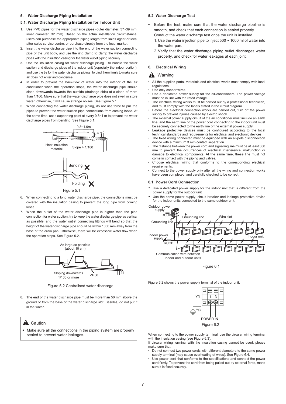#### **5. Water Discharge Piping Installation**

#### **5.1. Water Discharge Piping Installation for Indoor Unit**

- 1. Use PVC pipes for the water discharge pipes (outer diameter: 37~39 mm, inner diameter: 32 mm). Based on the actual installation circumstance, users can purchase the appropriate piping length from sales agent or local after-sales service centre, or purchase directly from the local market.
- 2. Insert the water discharge pipe into the end of the water suction connecting pipe of the unit body, and use the ring clamp to clamp the water discharge pipes with the insulation casing for the water outlet piping securely.
- 3. Use the insulation casing for water discharge piping to bundle the water suction and discharge pipes of the indoor unit (especially the indoor portion). and use the tie for the water discharge piping to bind them firmly to make sure air does not enter and condense.
- 4. In order to prevent the back-flow of water into the interior of the air conditioner when the operation stops, the water discharge pipe should slope downwards towards the outside (drainage side) at a slope of more than 1/100. Make sure that the water discharge pipe does not swell or store water; otherwise, it will cause strange noises. See Figure 5.1.
- 5. When connecting the water discharge piping, do not use force to pull the pipes to prevent the water suction pipe connections from coming loose. At the same time, set a supporting point at every 0.8~1 m to prevent the water discharge pipes from bending. See Figure 5.1.



- 6. When connecting to a long water discharge pipe, the connections must be covered with the insulation casing to prevent the long pipe from coming loose.
- 7. When the outlet of the water discharge pipe is higher than the pipe connection for water suction, try to keep the water discharge pipe as vertical as possible, and the water outlet connecting fittings will bend so that the height of the water discharge pipe should be within 1000 mm away from the base of the drain pan. Otherwise, there will be excessive water flow when the operation stops. See Figure 5.2.



Figure 5.2 Centralised water discharge

8. The end of the water discharge pipe must be more than 50 mm above the ground or from the base of the water discharge slot. Besides, do not put it in the water.

#### **A** Caution

- Make sure all the connections in the piping system are properly sealed to prevent water leakages.

#### **5.2 Water Discharge Test**

- Before the test, make sure that the water discharge pipeline is smooth, and check that each connection is sealed properly. Conduct the water discharge test once the unit is installed.
	- 1. Use the water injection pipe to inject 500 ~ 1000 ml of water into the water pan.
	- 2. Verify that the water discharge piping outlet discharges water properly, and check for water leakages at each joint.

## **6. Electrical Wiring**

#### $\mathbf{A}$ Warning

- All the supplied parts, materials and electrical works must comply with local regulations.
- Use only copper wires
- Use a dedicated power supply for the air-conditioners. The power voltage must be in line with the rated voltage.
- The electrical wiring works must be carried out by a professional technician, and must comply with the labels stated in the circuit diagram.
- Before the electrical connection works are carried out, turn off the power supply to prevent injuries caused by electric shock.
- The external power supply circuit of the air conditioner must include an earth line, and the earth line of the power cord connecting to the indoor unit must be securely connected to the earth line of the external power supply.
- Leakage protective devices must be configured according to the local technical standards and requirements for electrical and electronic devices.
- The fixed wiring connected must be equipped with an all-pole disconnection device with a minimum 3 mm contact separation.
- The distance between the power cord and signalling line must be at least 300 mm to prevent the occurrences of electrical interference, malfunction or damage to electrical components. At the same time, these line must not come in contact with the piping and valves.
- Choose electrical wiring that conforms to the corresponding electrical requirements.
- Connect to the power supply only after all the wiring and connection works have been completed, and carefully checked to be correct.

#### **6.1 Power Cord Connection**

- Use a dedicated power supply for the indoor unit that is different from the power supply for the outdoor unit.
- Use the same power supply, circuit breaker and leakage protective device for the indoor units connected to the same outdoor unit.



Figure 6.1

Figure 6.2 shows the power supply terminal of the indoor unit.



When connecting to the power supply terminal, use the circular wiring terminal with the insulation casing (see Figure 6.3).

- If circular wiring terminal with the insulation casing cannot be used, please make sure that:
- Do not connect two power cords with different diameters to the same power supply terminal (may cause overheating of wires). See Figure 6.4.
- Use power cord that conforms to the specifications and connect the power cord firmly. To prevent the cord from being pulled out by external force, make sure it is fixed securely.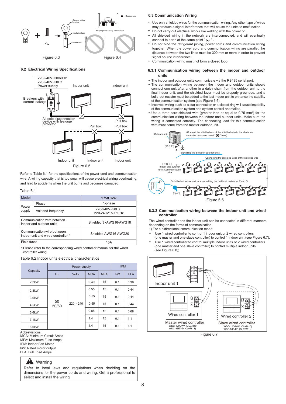

#### **6.2 Electrical Wiring Specifications**



Refer to Table 6.1 for the specifications of the power cord and communication wire. A wiring capacity that is too small will cause electrical wiring overheating, and lead to accidents when the unit burns and becomes damaged.

#### Table 6.1

| Model                                                            |                    | 2.2-8.0kW                         |  |
|------------------------------------------------------------------|--------------------|-----------------------------------|--|
|                                                                  | Phase              | 1-phase                           |  |
| Power<br>supply                                                  | Volt and frequency | 220-240V~50Hz<br>220-240V~50/60Hz |  |
| Communication wire between<br>indoor and outdoor units           |                    | Shielded 3×AWG16-AWG18            |  |
| Communication wire between<br>indoor unit and wired controller * |                    | Shielded AWG16-AWG20              |  |
| Field fuses                                                      |                    | 15A                               |  |

\* Please refer to the corresponding wired controller manual for the wired controller wiring.

Table 6.2 Indoor units electrical characteristics

|                    | Power supply |              |            |            | <b>IFM</b> |            |      |
|--------------------|--------------|--------------|------------|------------|------------|------------|------|
| Capacity           | Hz           | <b>Volts</b> | <b>MCA</b> | <b>MFA</b> | kW         | <b>FLA</b> |      |
| $2.2$ kW           |              |              | 0.49       | 15         | 0.1        | 0.39       |      |
| 2.8kW              | 50<br>50/60  |              |            | 0.55       | 15         | 0.1        | 0.44 |
| 3.6kW              |              |              | 0.55       | 15         | 0.1        | 0.44       |      |
| 4.5kW              |              | $220 - 240$  | 0.55       | 15         | 0.1        | 0.44       |      |
| 5.6kW              |              |              | 0.85       | 15         | 0.1        | 0.68       |      |
| 7.1 <sub>k</sub> W |              |              | 1.4        | 15         | 0.1        | 1.1        |      |
| 8.0kW              |              |              | 1.4        | 15         | 0.1        | 1.1        |      |

Abbreviations: MCA: Minimum Circuit Amps MFA: Maximum Fuse Amps IFM: Indoor Fan Motor

kW: Rated motor output

FLA: Full Load Amps

#### **A** Warning

Refer to local laws and regulations when deciding on the dimensions for the power cords and wiring. Get a professional to select and install the wiring.

#### **6.3 Communication Wiring**

- Use only shielded wires for the communication wiring. Any other type of wires may produce a signal interference that will cause the units to malfunction.
- Do not carry out electrical works like welding with the power on.
- All shielded wiring in the network are interconnected, and will eventually connect to earth at the same point " $\oplus$ ".
- Do not bind the refrigerant piping, power cords and communication wiring together. When the power cord and communication wiring are parallel, the distance between the two lines must be 300 mm or more in order to prevent signal source interference
- Communication wiring must not form a closed loop.

#### **6.3.1 Communication wiring between the indoor and outdoor units**

- The indoor and outdoor units communicate via the RS485 serial port.
- The communication wiring between the indoor and outdoor units should connect one unit after another in a daisy chain from the outdoor unit to the final indoor unit, and the shielded layer must be properly grounded, and a build-out resistor must be added to the last indoor unit to enhance the stability of the communication system (see Figure 6.6).
- Incorrect wiring such as a star connection or a closed ring will cause instability of the communication system and system control anomalies.
- Use a three core shielded wire (greater than or equal to  $0.75$  mm<sup>2</sup>) for the communication wiring between the indoor and outdoor units. Make sure the wiring is connected correctly. The connecting lead for this communication wire must come from the master outdoor unit.



#### **6.3.2 Communication wiring between the indoor unit and wired controller**

The wired controller and the indoor unit can be connected in different manners, depending on the forms of communication.

- 1) For a bidirectional communication mode:
- Use 1 wired controller to control 1 indoor unit or 2 wired controllers (one master and one slave controller) to control 1 indoor unit (see Figure 6.7);
- Use 1 wired controller to control multiple indoor units or 2 wired controllers (one master and one slave controller) to control multiple indoor units (see Figure 6.8);

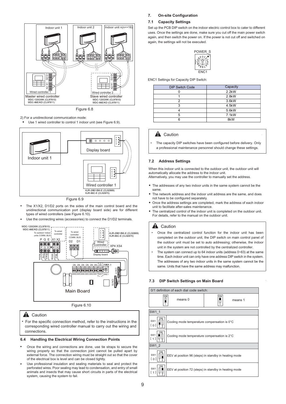

Figure 6.8

2) For a unidirectional communication mode:

Use 1 wired controller to control 1 indoor unit (see Figure 6.9).



Figure 6.9

- The X1/X2, D1/D2 ports on the sides of the main control board and the unidirectional communication port (display board side) are for different types of wired controllers (see Figure 6.10).
- Use the connecting wires (accessories) to connect the D1/D2 terminals.



Figure 6.10

#### **A** Caution

For the specific connection method, refer to the instructions in the corresponding wired controller manual to carry out the wiring and connections.

## **6.4 Handling the Electrical Wiring Connection Points**

- Once the wiring and connections are done, use tie straps to secure the wiring properly so that the connection joint cannot be pulled apart by external force. The connection wiring must be straight out so that the cover of the electrical box is level and can be closed tightly.
- Use professional insulation and sealing materials to seal and protect the perforated wires. Poor sealing may lead to condensation, and entry of small animals and insects that may cause short circuits in parts of the electrical system, causing the system to fail.

#### **7. On-site Configuration**

#### **7.1 Capacity Settings**

Set up the PCB DIP switch on the indoor electric control box to cater to different uses. Once the settings are done, make sure you cut off the main power switch again, and then switch the power on. If the power is not cut off and switched on again, the settings will not be executed.



ENC1 Settings for Capacity DIP Switch:

| <b>DIP Switch Code</b> | Capacity           |
|------------------------|--------------------|
|                        | $2.2$ kW           |
|                        | 2.8kW              |
| っ                      | 3.6kW              |
| ঽ                      | 4.5kW              |
|                        | 5.6kW              |
| 5                      | 7.1 <sub>k</sub> W |
| ิค                     | 8kW                |

## **A** Caution

• The capacity DIP switches have been configured before delivery. Only a professional maintenance personnel should change these settings.

#### **7.2 Address Settings**

When this indoor unit is connected to the outdoor unit, the outdoor unit will automatically allocate the address to the indoor unit. Alternatively, you may use the controller to manually set the address.

- The addresses of any two indoor units in the same system cannot be the same.
- The network address and the indoor unit address are the same, and does not have to be configured separately.
- Once the address settings are completed, mark the address of each indoor unit to facilitate after-sales maintenance.
- The centralized control of the indoor unit is completed on the outdoor unit. For details, refer to the manual on the outdoor unit.

#### **A** Caution

- Once the centralized control function for the indoor unit has been completed on the outdoor unit, the DIP switch on main control panel of the outdoor unit must be set to auto addressing; otherwise, the indoor unit in the system are not controlled by the centralized controller.
- The system can connect up to 64 indoor units (address 0~63) at the same time. Each indoor unit can only have one address DIP switch in the system. The addresses of any two indoor units in the same system cannot be the same. Units that have the same address may malfunction.

#### **7.3 DIP Switch Settings on Main Board**

| 0/1 definition of each dial code switch: |                                                       |    |         |  |  |
|------------------------------------------|-------------------------------------------------------|----|---------|--|--|
| 0 <sub>N</sub><br>g                      | means 0                                               | ON | means 1 |  |  |
| SW1 1                                    |                                                       |    |         |  |  |
| ΩN<br>SW <sub>1</sub><br>[0]             | Cooling mode temperature compensation is 0°C          |    |         |  |  |
| ON<br>SW <sub>1</sub><br>$[1]$           | Cooling mode temperature compensation is 2°C          |    |         |  |  |
| SW1 2                                    |                                                       |    |         |  |  |
| 0 N<br>SW <sub>1</sub><br>[ 0 ]          | EEV at position 96 (steps) in standby in heating mode |    |         |  |  |
| 0 N<br>SW <sub>1</sub><br>「 1 ]          | EEV at position 72 (steps) in standby in heating mode |    |         |  |  |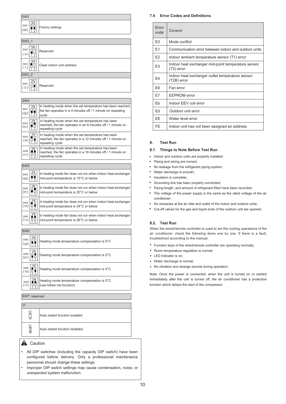| 0N<br>SW <sub>2</sub><br>Factory settings<br>-<br>-<br>[00] | SW <sub>2</sub> |  |
|-------------------------------------------------------------|-----------------|--|
|                                                             |                 |  |

| SW <sub>3</sub> 1                              |                           |  |
|------------------------------------------------|---------------------------|--|
| ON<br>SW <sub>3</sub><br>[0]<br>$\bar{2}$      | Reserved                  |  |
| ON<br>SW <sub>3</sub><br>[1]<br>$\overline{2}$ | Clear indoor unit address |  |
| SW3 2                                          |                           |  |
| 0N<br>SW <sub>3</sub><br>$\frac{1}{2}$<br>[0]  | Reserved                  |  |

| <b>SW4</b>      |                                                             |  |
|-----------------|-------------------------------------------------------------|--|
| ON              | In heating mode when the set temperature has been reached,  |  |
| SW <sub>4</sub> | the fan operates in a 4 minutes off / 1 minute on repeating |  |
| [00]            | cycle                                                       |  |
| 0 <sub>N</sub>  | In heating mode when the set temperature has been           |  |
| SW <sub>4</sub> | reached, the fan operates in an 8 minutes off / 1 minute on |  |
| [01]            | repeating cycle                                             |  |
| 0N              | In heating mode when the set temperature has been           |  |
| SW <sub>4</sub> | reached, the fan operates in a 12 minutes off / 1 minute on |  |
| $[10]$          | repeating cycle                                             |  |
| 0N              | In heating mode when the set temperature has been           |  |
| SW <sub>4</sub> | reached, the fan operates in a 16 minutes off / 1 minute on |  |
| $[11]$          | repeating cycle                                             |  |

|                                | SW <sub>5</sub>                     |                                                                                                       |  |
|--------------------------------|-------------------------------------|-------------------------------------------------------------------------------------------------------|--|
|                                | ON<br>SW <sub>5</sub><br>[00]<br>부분 | In heating mode fan does not run when indoor heat exchanger<br>mid-point temperature is 15°C or below |  |
| 0 N<br>SW <sub>5</sub><br>[01] |                                     | In heating mode fan does not run when indoor heat exchanger<br>mid-point temperature is 20°C or below |  |
|                                | ΟN<br>SW <sub>5</sub><br>$[10]$     | In heating mode fan does not run when indoor heat exchanger<br>mid-point temperature is 24°C or below |  |
|                                | SW <sub>5</sub><br>[11]             | In heating mode fan does not run when indoor heat exchanger<br>mid-point temperature is 26°C or below |  |

| SW <sub>6</sub>                           |                                                                          |  |
|-------------------------------------------|--------------------------------------------------------------------------|--|
| SW6<br>[00]                               | Heating mode temperature compensation is 6°C                             |  |
| 0 <sub>N</sub><br>SW <sub>6</sub><br>[01] | Heating mode temperature compensation is 2°C                             |  |
| 0 N<br>SW6<br>$[10]$                      | Heating mode temperature compensation is 4°C                             |  |
| SW <sub>6</sub><br>[11]                   | Heating mode temperature compensation is 0°C<br>(use follow me function) |  |

SW7: reserved

| J <sub>1</sub><br>ब<br>۱٥ | Auto restart function enabled  |
|---------------------------|--------------------------------|
| 1 ل<br>آ®ا<br>۰           | Auto restart function disabled |

## **Caution**

- All DIP switches (including the capacity DIP switch) have been configured before delivery. Only a professional maintenance personnel should change these settings.
- Improper DIP switch settings may cause condensation, noise, or unexpected system malfunction.

## **7.4 Error Codes and Definitions**

| Frror<br>code  | Content                                                          |
|----------------|------------------------------------------------------------------|
| E <sub>0</sub> | Mode conflict                                                    |
| E <sub>1</sub> | Communication error between indoor and outdoor units             |
| E <sub>2</sub> | Indoor ambient temperature sensor (T1) error                     |
| E <sub>3</sub> | Indoor heat exchanger mid-point temperature sensor<br>(T2) error |
| E4             | Indoor heat exchanger outlet temperature sensor<br>(T2B) error   |
| F <sub>6</sub> | Fan error                                                        |
| F7             | <b>EEPROM</b> error                                              |
| Eb             | Indoor EEV coil error                                            |
| Fd             | Outdoor unit error                                               |
| EE.            | Water level error                                                |
| <b>FE</b>      | Indoor unit has not been assigned an address                     |

## **8. Test Run**

## **8.1 Things to Note Before Test Run**

- Indoor and outdoor units are properly installed;
- Piping and wiring are correct;  $\bullet$
- No leakage from the refrigerant piping system;
- Water discharge is smooth;
- Insulation is complete;
- Grounding line has been properly connected;
- Piping length, and amount of refrigerant filled have been recorded;
- The voltage of the power supply is the same as the rated voltage of the air conditioner;
- No obstacles at the air inlet and outlet of the indoor and outdoor units;
- Cut-off valves for the gas and liquid ends of the outdoor unit are opened;

## **8.2. Test Run**

When the wired/remote controller is used to set the cooling operations of the air conditioner, check the following items one by one. If there is a fault, troubleshoot according to the manual.

- $\bullet$ Function keys of the wired/remote controller are operating normally;
- Room temperature regulation is normal;
- LED indicator is on;
- Water discharge is normal;
- No vibration and strange sounds during operation;

Note: Once the power is connected, when the unit is turned on or started immediately after the unit is turned off, the air conditioner has a protective function which delays the start of the compressor.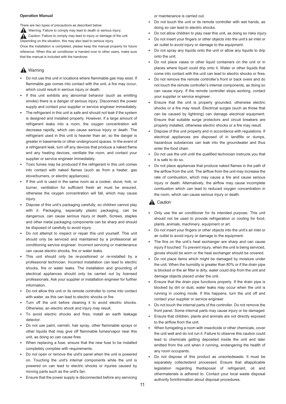## **Operation Manual**

There are two types of precautions as described below:

Warning: Failure to comply may lead to death or serious injury. Caution: Failure to comply may lead to injury or damage of the unit. Depending on the situation, this may also lead to serious injury. Once the installation is completed, please keep the manual properly for future reference. When this air conditioner is handed over to other users, make sure that the manual is included with the handover.

## **A** Warning

- - Do not use this unit in locations where flammable gas may exist. If flammable gas comes into contact with the unit, a fire may occur, which could result in serious injury or death.
- - If this unit exhibits any abnormal behavior (such as emitting smoke) there is a danger of serious injury. Disconnect the power supply and contact your supplier or service engineer immediately.
- - The refrigerant in this unit is safe and should not leak if the system is designed and installed properly. However, if a large amount of refrigerant leaks into a room, the oxygen concentration will decrease rapidly, which can cause serious injury or death. The refrigerant used in this unit is heavier than air, so the danger is greater in basements or other underground spaces. In the event of a refrigerant leak, turn off any devices that produce a naked flame and any heating devices, ventilate the room, and contact your supplier or service engineer immediately.
- - Toxic fumes may be produced if the refrigerant in this unit comes into contact with naked flames (such as from a heater, gas stove/burners, or electric appliances).
- - If this unit is used in the same room as a cooker, stove, hob, or burner, ventilation for sufficient fresh air must be ensured, otherwise the oxygen concentration will fall, which may cause injury.
- - Dispose of this unit's packaging carefully, so children cannot play with it. Packaging, especially plastic packaging, can be dangerous, can cause serious injury or death. Screws, staples and other metal packaging components can be sharp and should be disposed of carefully to avoid injury.
- - Do not attempt to inspect or repair this unit yourself. This unit should only be serviced and maintained by a professional air conditioning service engineer. Incorrect servicing or maintenance can cause electric shocks, fire or water leaks.
- - This unit should only be re-positioned or re-installed by a professional technician. Incorrect installation can lead to electric shocks, fire or water leaks. The installation and grounding of electrical appliances should only be carried out by licensed professionals. Ask your supplier or installation engineer for further information.
- - Do not allow this unit or its remote controller to come into contact with water, as this can lead to electric shocks or fire.
- - Turn off the unit before cleaning it to avoid electric shocks. Otherwise, an electric shock and injury may result.
- To avoid electric shocks and fires, install an earth leakage detector.
- - Do not use paint, varnish, hair spray, other flammable sprays or other liquids that may give off flammable fumes/vapor near this unit, as doing so can cause fires.
- When replacing a fuse, ensure that the new fuse to be installed completely complies with requirements.
- - Do not open or remove the unit's panel when the unit is powered on. Touching the unit's internal components while the unit is powered on can lead to electric shocks or injuries caused by moving parts such as the unit's fan.
- $\bullet$ Ensure that the power supply is disconnected before any servicing

or maintenance is carried out.

- - Do not touch the unit or its remote controller with wet hands, as doing so can lead to electric shocks.
- -Do not allow children to play near this unit, as doing so risks injury.
- - Do not insert your fingers or other objects into the unit's air inlet or air outlet to avoid injury or damage to the equipment.
- $\bullet$  Do not spray any liquids onto the unit or allow any liquids to drip onto the unit.
- -Do not place vases or other liquid containers on the unit or in places where liquid could drip onto it. Water or other liquids that come into contact with the unit can lead to electric shocks or fires.
- - Do not remove the remote controller's front or back overs and do not touch the remote controller's internal components, as doing so can cause injury. If the remote controller stops working, contact your supplier or service engineer.
- - Ensure that the unit is properly grounded, otherwise electric shocks or a fire may result. Electrical surges (such as those that can be caused by lightning) can damage electrical equipment. Ensure that suitable surge protectors and circuit breakers are properly installed, otherwise electric shocks or a fire may result.
- - Dispose of this unit properly and in accordance with regulations. If electrical appliances are disposed of in landfills or dumps, hazardous substances can leak into the groundwater and thus enter the food chain.
- - Do not use the unit until the qualified technician instructs you that it is safe to do so.
- - Do not place appliances that produce naked flames in the path of the airflow from the unit. The airflow from the unit may increase the rate of combustion, which may cause a fire and cause serious injury or death. Alternatively, the airflow may cause incomplete combustion which can lead to reduced oxygen concentration in the room, which can cause serious injury or death.

## **A** Caution

- Only use the air conditioner for its intended purpose. This unit should not be used to provide refrigeration or cooling for food, plants, animals, machinery, equipment or art.
- - Do not insert your fingers or other objects into the unit's air inlet or air outlet to avoid injury or damage to the equipment.
- - The fins on the unit's heat exchanger are sharp and can cause injury if touched. To prevent injury, when the unit is being serviced, gloves should be worn or the heat exchanger should be covered.
- - Do not place items which might be damaged by moisture under the unit. When the humidity is greater than 80% or if the drain pipe is blocked or the air filter is dirty, water could drip from the unit and damage objects placed under the unit.
- Ensure that the drain pipe functions properly. If the drain pipe is blocked by dirt or dust, water leaks may occur when the unit is running in cooling mode. If this happens, turn the unit off and contact your supplier or service engineer.
- - Do not touch the internal parts of the controller. Do not remove the front panel. Some internal parts may cause injury or be damaged.
- - Ensure that children, plants and animals are not directly exposed to the airflow from the unit.
- - When fumigating a room with insecticide or other chemicals, cover the unit well and do not run it. Failure to observe this caution could lead to chemicals getting deposited inside the unit and later emitted from the unit when it running, endangering the health of any room occupants.
- - Do not dispose of this product as unsortedwaste. It must be separately collectedand processed. Ensure that allapplicable legislation regarding thedisposal of refrigerant, oil and othermaterials is adhered to. Contact your local waste disposal authority forinformation about disposal procedures.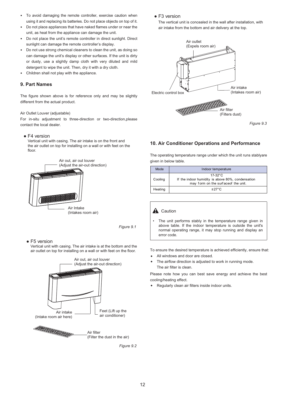- - To avoid damaging the remote controller, exercise caution when using it and replacing its batteries. Do not place objects on top of it.
- - Do not place appliances that have naked flames under or near the unit, as heat from the appliance can damage the unit.
- $\bullet$  Do not place the unit's remote controller in direct sunlight. Direct sunlight can damage the remote controller's display.
- - Do not use strong chemical cleaners to clean the unit, as doing so can damage the unit's display or other surfaces. If the unit is dirty or dusty, use a slightly damp cloth with very diluted and mild detergent to wipe the unit. Then, dry it with a dry cloth.
- -Children shall not play with the appliance.

## **9. Part Names**

The figure shown above is for reference only and may be slightly different from the actual product.

#### Air Outlet Louver (adjustable)

For in-situ adjustment to three-direction or two-direction,please contact the local dealer.

#### • F4 version

 Vertical unit with casing. The air intake is on the front and the air outlet on top for installing on a wall or with feet on the floor.



*Figure 9.1*

#### $\bullet$  F<sub>5</sub> version

 Vertical unit with casing. The air intake is at the bottom and the air outlet on top for installing on a wall or with feet on the floor.



*Figure 9.2*

#### • F3 version

 The vertical unit is concealed in the wall after installation, with air intake from the bottom and air delivery at the top.



*Figure 9.3*

#### **10. Air Conditioner Operations and Performance**

The operating temperature range under which the unit runs stablyare given in below table.

| Mode    | Indoor temperature                                                                                      |  |
|---------|---------------------------------------------------------------------------------------------------------|--|
| Cooling | $17-32$ °C<br>If the indoor humidity is above 80%, condensation<br>may form on the surface of the unit. |  |
| Heating | $\leq$ 27°C.                                                                                            |  |

## **A** Caution

 The unit performs stably in the temperature range given in above table. If the indoor temperature is outside the unit's normal operating range, it may stop running and display an error code.

To ensure the desired temperature is achieved efficiently, ensure that:

- All windows and door are closed.  $\bullet$
- The airflow direction is adjusted to work in running mode. The air filter is clean.  $\bullet$

Please note how you can best save energy and achieve the best cooling/heating effect.

Regularly clean air filters inside indoor units.  $\bullet$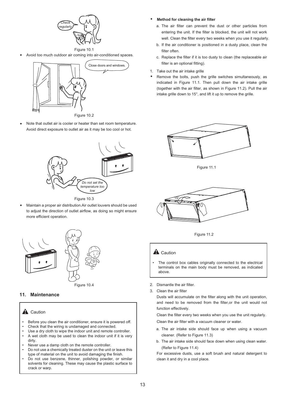

Avoid too much outdoor air coming into air-conditioned spaces.



Note that outlet air is cooler or heater than set room temperature. Avoid direct exposure to outlet air as it may be too cool or hot.  $\bullet$ 



Figure 10.3

Maintain a proper air distribution.Air outlet louvers should be used to adjust the direction of outlet airflow, as doing so might ensure more efficient operation.  $\bullet$ 





## **11. Maintenance**

## **A** Caution

- Before you clean the air conditioner, ensure it is powered off. • Check that the wiring is undamaged and connected.
- Use a dry cloth to wipe the indoor unit and remote controller. • A wet cloth may be used to clean the indoor unit if it is very
- dirty. • Never use a damp cloth on the remote controller.
- Do not use a chemically treated duster on the unit or leave this type of material on the unit to avoid damaging the finish.
- Do not use benzene, thinner, polishing powder, or similar solvents for cleaning. These may cause the plastic surface to crack or warp.
- **Method for cleaning the air filter**
	- a. The air filter can prevent the dust or other particles from entering the unit. If the filter is blocked, the unit will not work well. Clean the filter every two weeks when you use it regularly.
	- b. If the air conditioner is positioned in a dusty place, clean the filter often.
	- c. Replace the filter if it is too dusty to clean (the replaceable air filter is an optional fitting).
- 1. Take out the air intake grille
- Remove the bolts, push the grille switches simultaneously, as indicated in Figure 11.1. Then pull down the air intake grille (together with the air filter, as shown in Figure 11.2). Pull the air intake grille down to 15°, and lift it up to remove the grille.  $\bullet$



Figure 11.1



Figure 11.2

## $\mathbf A$  Caution

- The control box cables originally connected to the electrical terminals on the main body must be removed, as indicated above.
- 2. Dismantle the air filter.
- 3. Clean the air filter

Dusts will accumulate on the filter along with the unit operation, and need to be removed from the filter,or the unit would not function effectively.

Clean the filter every two weeks when you use the unit regularly. Clean the air filter with a vacuum cleaner or water.

- a. The air intake side should face up when using a vacuum cleaner. (Refer to Figure 11.3)
- b. The air intake side should face down when using clean water. (Refer to Figure 11.4)

For excessive dusts, use a soft brush and natural detergent to clean it and dry in a cool place.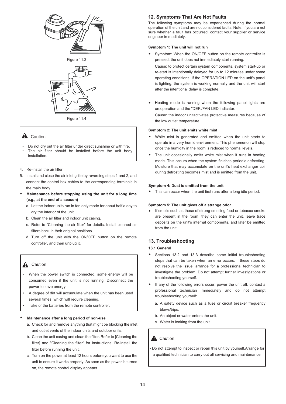





Figure 11.4

## **A** Caution

- Do not dry out the air filter under direct sunshine or with fire. • The air filter should be installed before the unit body installation.
- 4. Re-install the air filter.
- 5. Install and close the air inlet grille by reversing steps 1 and 2, and connect the control box cables to the corresponding terminals in the main body.
- **Maintenance before stopping using the unit for a long time (e.g., at the end of a season)**  $\bullet$ 
	- a. Let the indoor units run in fan only mode for about half a day to dry the interior of the unit.
	- b. Clean the air filter and indoor unit casing.
	- c. Refer to "Cleaning the air filter" for details. Install cleaned air filters back in their original positions.
	- d. Turn off the unit with the ON/OFF button on the remote controller, and then unplug it.

## **A** Caution

- When the power switch is connected, some energy will be consumed even if the unit is not running. Disconnect the power to save energy.
- A degree of dirt will accumulate when the unit has been used several times, which will require cleaning.
- Take of the batteries from the remote controller.

#### $\bullet$ **Maintenance after a long period of non-use**

- a. Check for and remove anything that might be blocking the inlet and outlet vents of the indoor units and outdoor units.
- b. Clean the unit casing and clean the filter. Refer to [Cleaning the filter] and "Cleaning the filter" for instructions. Re-install the filter before running the unit.
- c. Turn on the power at least 12 hours before you want to use the unit to ensure it works properly. As soon as the power is turned on, the remote control display appears.

## **12. Symptoms That Are Not Faults**

The following symptoms may be experienced during the normal operation of the unit and are not considered faults. Note: If you are not sure whether a fault has occurred, contact your supplier or service engineer immediately.

#### **Symptom 1: The unit will not run**

Symptom: When the ON/OFF button on the remote controller is pressed, the unit does not immediately start running.  $\bullet$ 

Cause: to protect certain system components, system start-up or re-start is intentionally delayed for up to 12 minutes under some operating conditions. If the OPERATION LED on the unit's panel is lighting, the system is working normally and the unit will start after the intentional delay is complete.

Heating mode is running when the following panel lights are on:operation and the "DEF./FAN LED indicator.  $\bullet$ 

Cause: the indoor unitactivates protective measures because of the low outlet temperature.

#### **Symptom 2: The unit emits white mist**

- White mist is generated and emitted when the unit starts to operate in a very humid environment. This phenomenon will stop once the humidity in the room is reduced to normal levels.  $\bullet$
- The unit occasionally emits white mist when it runs in heating mode. This occurs when the system finishes periodic defrosting. Moisture that may accumulate on the unit's heat exchanger coil during defrosting becomes mist and is emitted from the unit.  $\bullet$

#### **Symptom 4: Dust is emitted from the unit**

This can occur when the unit first runs after a long idle period.  $\bullet$ 

#### **Symptom 5: The unit gives off a strange odor**

If smells such as those of strong-smelling food or tobacco smoke are present in the room, they can enter the unit, leave trace deposits on the unit's internal components, and later be emitted from the unit.

## **13. Troubleshooting**

#### **13.1 General**

- Sections 13.2 and 13.3 describe some initial troubleshooting steps that can be taken when an error occurs. If these steps do not resolve the issue, arrange for a professional technician to investigate the problem. Do not attempt further investigations or troubleshooting yourself.  $\bullet$
- If any of the following errors occur, power the unit off, contact a professional technician immediately and do not attempt troubleshooting yourself:  $\bullet$ 
	- a. A safety device such as a fuse or circuit breaker frequently blows/trips.
	- b. An object or water enters the unit.
	- c. Water is leaking from the unit.

## **A** Caution

• Do not attempt to inspect or repair this unit by yourself. Arrange for a qualified technician to carry out all servicing and maintenance.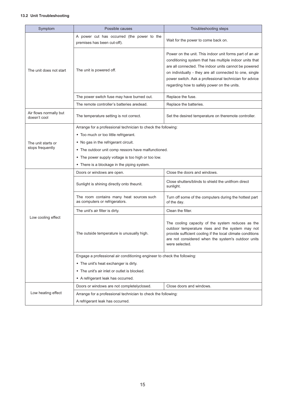## **13.2 Unit Troubleshooting**

| Symptom                                | Possible causes<br>Troubleshooting steps                                   |                                                                                                                                                                                                                                                                                                                                                  |  |  |
|----------------------------------------|----------------------------------------------------------------------------|--------------------------------------------------------------------------------------------------------------------------------------------------------------------------------------------------------------------------------------------------------------------------------------------------------------------------------------------------|--|--|
|                                        | A power cut has occurred (the power to the<br>premises has been cut-off).  | Wait for the power to come back on.                                                                                                                                                                                                                                                                                                              |  |  |
| The unit does not start                | The unit is powered off.                                                   | Power on the unit. This indoor unit forms part of an air<br>conditioning system that has multiple indoor units that<br>are all connected. The indoor units cannot be powered<br>on individually - they are all connected to one, single<br>power switch. Ask a professional technician for advice<br>regarding how to safely power on the units. |  |  |
|                                        | The power switch fuse may have burned out.                                 | Replace the fuse.                                                                                                                                                                                                                                                                                                                                |  |  |
|                                        | The remote controller's batteries aredead.                                 | Replace the batteries.                                                                                                                                                                                                                                                                                                                           |  |  |
| Air flows normally but<br>doesn't cool | The temperature setting is not correct.                                    | Set the desired temperature on theremote controller.                                                                                                                                                                                                                                                                                             |  |  |
|                                        | Arrange for a professional technician to check the following:              |                                                                                                                                                                                                                                                                                                                                                  |  |  |
|                                        | • Too much or too little refrigerant.                                      |                                                                                                                                                                                                                                                                                                                                                  |  |  |
| The unit starts or                     | • No gas in the refrigerant circuit.                                       |                                                                                                                                                                                                                                                                                                                                                  |  |  |
| stops frequently                       | • The outdoor unit comp ressors have malfunctioned.                        |                                                                                                                                                                                                                                                                                                                                                  |  |  |
|                                        | • The power supply voltage is too high or too low.                         |                                                                                                                                                                                                                                                                                                                                                  |  |  |
|                                        | • There is a blockage in the piping system.                                |                                                                                                                                                                                                                                                                                                                                                  |  |  |
|                                        | Doors or windows are open.                                                 | Close the doors and windows.                                                                                                                                                                                                                                                                                                                     |  |  |
|                                        | Sunlight is shining directly onto theunit.                                 | Close shutters/blinds to shield the unitfrom direct<br>sunlight.                                                                                                                                                                                                                                                                                 |  |  |
|                                        | The room contains many heat sources such<br>as computers or refrigerators. | Turn off some of the computers during the hottest part<br>of the day.                                                                                                                                                                                                                                                                            |  |  |
|                                        | The unit's air filter is dirty.                                            | Clean the filter.                                                                                                                                                                                                                                                                                                                                |  |  |
| Low cooling effect                     | The outside temperature is unusually high.                                 | The cooling capacity of the system reduces as the<br>outdoor temperature rises and the system may not<br>provide sufficient cooling if the local climate conditions<br>are not considered when the system's outdoor units<br>were selected.                                                                                                      |  |  |
|                                        | Engage a professional air conditioning engineer to check the following:    |                                                                                                                                                                                                                                                                                                                                                  |  |  |
|                                        | • The unit's heat exchanger is dirty.                                      |                                                                                                                                                                                                                                                                                                                                                  |  |  |
|                                        | • The unit's air inlet or outlet is blocked.                               |                                                                                                                                                                                                                                                                                                                                                  |  |  |
|                                        | • A refrigerant leak has occurred.                                         |                                                                                                                                                                                                                                                                                                                                                  |  |  |
|                                        | Doors or windows are not completelyclosed.                                 | Close doors and windows.                                                                                                                                                                                                                                                                                                                         |  |  |
| Low heating effect                     | Arrange for a professional technician to check the following:              |                                                                                                                                                                                                                                                                                                                                                  |  |  |
|                                        | A refrigerant leak has occurred.                                           |                                                                                                                                                                                                                                                                                                                                                  |  |  |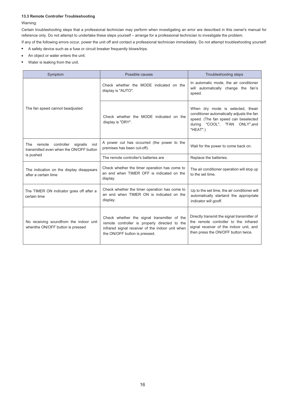#### **13.3 Remote Controller Troubleshooting**

#### Warning:

Certain troubleshooting steps that a professional technician may perform when investigating an error are described in this owner's manual for reference only. Do not attempt to undertake these steps yourself – arrange for a professional technician to investigate the problem.

If any of the following errors occur, power the unit off and contact a professional technician immediately. Do not attempt troubleshooting yourself: A safety device such as a fuse or circuit breaker frequently blows/trips.  $\bullet$ 

- An object or water enters the unit.  $\bullet$
- Water is leaking from the unit.  $\bullet$

| Symptom                                                                                   | Possible causes                                                                                                                                                                   | Troubleshooting steps                                                                                                                                                  |
|-------------------------------------------------------------------------------------------|-----------------------------------------------------------------------------------------------------------------------------------------------------------------------------------|------------------------------------------------------------------------------------------------------------------------------------------------------------------------|
|                                                                                           | Check whether the MODE indicated on the<br>display is "AUTO".                                                                                                                     | In automatic mode, the air conditioner<br>will automatically change the fan's<br>speed.                                                                                |
| The fan speed cannot beadjusted                                                           | Check whether the MODE indicated on the<br>display is "DRY".                                                                                                                      | When dry mode is selected, theair<br>conditioner automatically adjusts the fan<br>speed. (The fan speed can beselected<br>during "COOL", "FAN ONLY", and<br>"HEAT".)   |
| controller<br>signalis<br>The<br>remote<br>not<br>transmitted even when the ON/OFF button | A power cut has occurred (the power to the<br>premises has been cut-off).                                                                                                         | Wait for the power to come back on.                                                                                                                                    |
| is pushed                                                                                 | The remote controller's batteries are                                                                                                                                             | Replace the batteries.                                                                                                                                                 |
| The indication on the display disappears<br>after a certain time                          | Check whether the timer operation has come to<br>an end when TIMER OFF is indicated on the<br>display.                                                                            | The air conditioner operation will stop up<br>to the set time.                                                                                                         |
| The TIMER ON indicator goes off after a<br>certain time                                   | Check whether the timer operation has come to<br>an end when TIMER ON is indicated on the<br>display.                                                                             | Up to the set time, the air conditioner will<br>automatically startand the appropriate<br>indicator will gooff.                                                        |
| No receiving soundfrom the indoor unit<br>whenthe ON/OFF button is pressed                | Check whether the signal transmitter of the<br>remote controller is properly directed to the<br>infrared signal receiver of the indoor unit when<br>the ON/OFF button is pressed. | Directly transmit the signal transmitter of<br>the remote controller to the infrared<br>signal receiver of the indoor unit, and<br>then press the ON/OFF button twice. |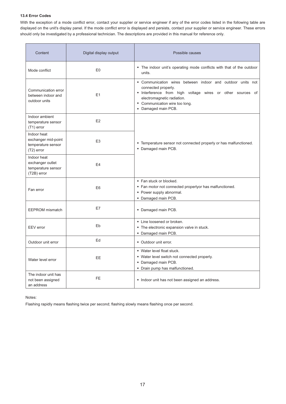## **13.4 Error Codes**

With the exception of a mode conflict error, contact your supplier or service engineer if any of the error codes listed in the following table are displayed on the unit's display panel. If the mode conflict error is displayed and persists, contact your supplier or service engineer. These errors should only be investigated by a professional technician. The descriptions are provided in this manual for reference only.

| Content                                                                  | Digital display output | Possible causes                                                                                                                                                                                                                        |  |
|--------------------------------------------------------------------------|------------------------|----------------------------------------------------------------------------------------------------------------------------------------------------------------------------------------------------------------------------------------|--|
| Mode conflict                                                            | E <sub>0</sub>         | • The indoor unit's operating mode conflicts with that of the outdoor<br>units.                                                                                                                                                        |  |
| Communication error<br>between indoor and<br>outdoor units               | E1                     | • Communication wires between indoor and outdoor units not<br>connected properly.<br>* Interference from high voltage wires or other sources of<br>electromagnetic radiation.<br>• Communication wire too long.<br>• Damaged main PCB. |  |
| Indoor ambient<br>temperature sensor<br>$(T1)$ error                     | E2                     |                                                                                                                                                                                                                                        |  |
| Indoor heat<br>exchanger mid-point<br>temperature sensor<br>$(T2)$ error | E <sub>3</sub>         | • Temperature sensor not connected properly or has malfunctioned.<br>• Damaged main PCB.                                                                                                                                               |  |
| Indoor heat<br>exchanger outlet<br>temperature sensor<br>(T2B) error     | E <sub>4</sub>         |                                                                                                                                                                                                                                        |  |
| Fan error                                                                | E <sub>6</sub>         | • Fan stuck or blocked.<br>• Fan motor not connected properlyor has malfunctioned.<br>• Power supply abnormal.<br>• Damaged main PCB.                                                                                                  |  |
| <b>EEPROM</b> mismatch                                                   | E7                     | • Damaged main PCB.                                                                                                                                                                                                                    |  |
| EEV error                                                                | Eb                     | • Line loosened or broken.<br>• The electronic expansion valve in stuck.<br>• Damaged main PCB.                                                                                                                                        |  |
| Outdoor unit error                                                       | Ed                     | • Outdoor unit error.                                                                                                                                                                                                                  |  |
| Water level error                                                        | <b>EE</b>              | • Water level float stuck.<br>• Water level switch not connected properly.<br>• Damaged main PCB.<br>• Drain pump has malfunctioned.                                                                                                   |  |
| The indoor unit has<br>not been assigned<br>an address                   | <b>FE</b>              | • Indoor unit has not been assigned an address.                                                                                                                                                                                        |  |

#### Notes:

Flashing rapidly means flashing twice per second; flashing slowly means flashing once per second.